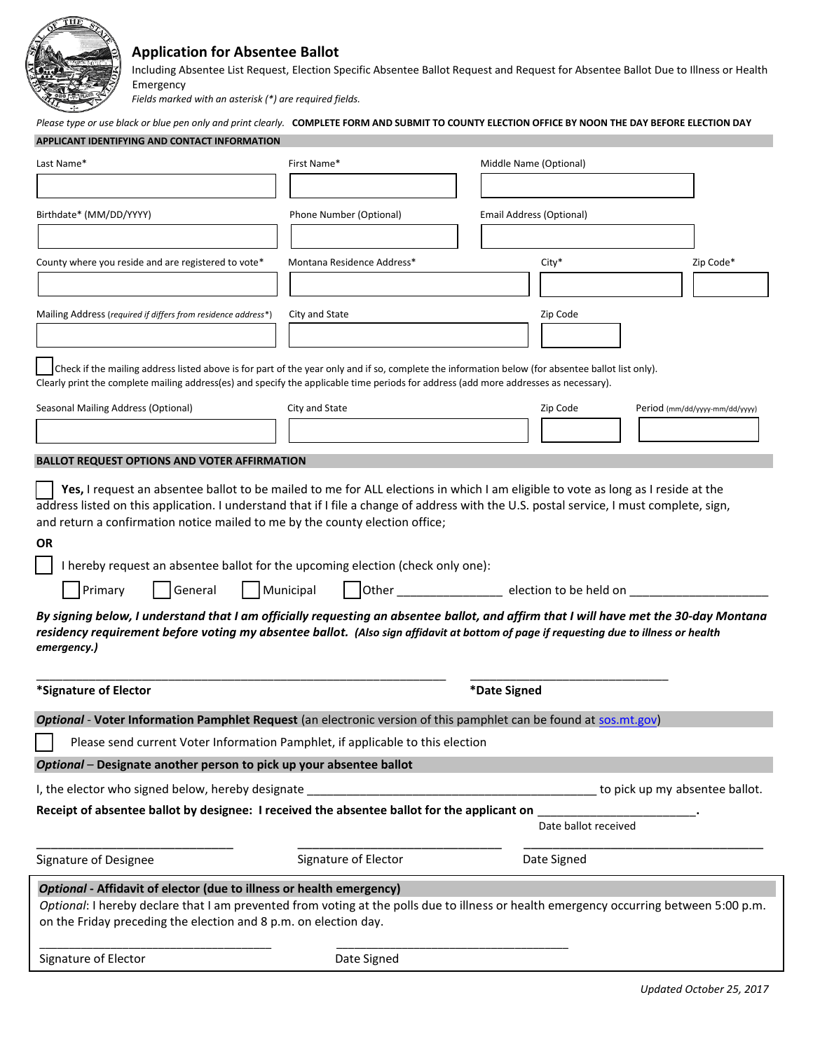

## **Application for Absentee Ballot**

Emergency Including Absentee List Request, Election Specific Absentee Ballot Request and Request for Absentee Ballot Due to Illness or Health

*Fields marked with an asterisk (\*) are required fields.* 

| APPLICANT IDENTIFYING AND CONTACT INFORMATION<br>First Name*<br>Last Name*<br>Middle Name (Optional)<br>Birthdate* (MM/DD/YYYY)<br>Phone Number (Optional)<br>Email Address (Optional)<br>County where you reside and are registered to vote*<br>Montana Residence Address*<br>Zip Code*<br>$City*$<br>City and State<br>Zip Code<br>Mailing Address (required if differs from residence address*)<br>Check if the mailing address listed above is for part of the year only and if so, complete the information below (for absentee ballot list only).<br>Clearly print the complete mailing address(es) and specify the applicable time periods for address (add more addresses as necessary).<br>City and State<br>Seasonal Mailing Address (Optional)<br>Zip Code<br>Period (mm/dd/yyyy-mm/dd/yyyy)<br><b>BALLOT REQUEST OPTIONS AND VOTER AFFIRMATION</b><br>Yes, I request an absentee ballot to be mailed to me for ALL elections in which I am eligible to vote as long as I reside at the<br>address listed on this application. I understand that if I file a change of address with the U.S. postal service, I must complete, sign,<br>and return a confirmation notice mailed to me by the county election office;<br>0R<br>I hereby request an absentee ballot for the upcoming election (check only one):<br>General Municipal Other _______________ election to be held on _________<br>Primary<br>By signing below, I understand that I am officially requesting an absentee ballot, and affirm that I will have met the 30-day Montana<br>residency requirement before voting my absentee ballot. (Also sign affidavit at bottom of page if requesting due to illness or health<br>emergency.)<br>*Signature of Elector<br>*Date Signed<br>Optional - Voter Information Pamphlet Request (an electronic version of this pamphlet can be found at sos.mt.gov)<br>Please send current Voter Information Pamphlet, if applicable to this election<br>Optional - Designate another person to pick up your absentee ballot<br>I, the elector who signed below, hereby designate<br>to pick up my absentee ballot.<br>Receipt of absentee ballot by designee: I received the absentee ballot for the applicant on<br>Date ballot received<br>Signature of Elector<br>Date Signed<br>Signature of Designee<br>Optional - Affidavit of elector (due to illness or health emergency)<br>Optional: I hereby declare that I am prevented from voting at the polls due to illness or health emergency occurring between 5:00 p.m.<br>on the Friday preceding the election and 8 p.m. on election day.<br>Signature of Elector<br>Date Signed | Please type or use black or blue pen only and print clearly. COMPLETE FORM AND SUBMIT TO COUNTY ELECTION OFFICE BY NOON THE DAY BEFORE ELECTION DAY |  |  |  |  |  |  |  |  |
|---------------------------------------------------------------------------------------------------------------------------------------------------------------------------------------------------------------------------------------------------------------------------------------------------------------------------------------------------------------------------------------------------------------------------------------------------------------------------------------------------------------------------------------------------------------------------------------------------------------------------------------------------------------------------------------------------------------------------------------------------------------------------------------------------------------------------------------------------------------------------------------------------------------------------------------------------------------------------------------------------------------------------------------------------------------------------------------------------------------------------------------------------------------------------------------------------------------------------------------------------------------------------------------------------------------------------------------------------------------------------------------------------------------------------------------------------------------------------------------------------------------------------------------------------------------------------------------------------------------------------------------------------------------------------------------------------------------------------------------------------------------------------------------------------------------------------------------------------------------------------------------------------------------------------------------------------------------------------------------------------------------------------------------------------------------------------------------------------------------------------------------------------------------------------------------------------------------------------------------------------------------------------------------------------------------------------------------------------------------------------------------------------------------------------------------------------------------------------------------------------------------------------------------------------------------------------------------------------------------------------------------------------|-----------------------------------------------------------------------------------------------------------------------------------------------------|--|--|--|--|--|--|--|--|
|                                                                                                                                                                                                                                                                                                                                                                                                                                                                                                                                                                                                                                                                                                                                                                                                                                                                                                                                                                                                                                                                                                                                                                                                                                                                                                                                                                                                                                                                                                                                                                                                                                                                                                                                                                                                                                                                                                                                                                                                                                                                                                                                                                                                                                                                                                                                                                                                                                                                                                                                                                                                                                                   |                                                                                                                                                     |  |  |  |  |  |  |  |  |
|                                                                                                                                                                                                                                                                                                                                                                                                                                                                                                                                                                                                                                                                                                                                                                                                                                                                                                                                                                                                                                                                                                                                                                                                                                                                                                                                                                                                                                                                                                                                                                                                                                                                                                                                                                                                                                                                                                                                                                                                                                                                                                                                                                                                                                                                                                                                                                                                                                                                                                                                                                                                                                                   |                                                                                                                                                     |  |  |  |  |  |  |  |  |
|                                                                                                                                                                                                                                                                                                                                                                                                                                                                                                                                                                                                                                                                                                                                                                                                                                                                                                                                                                                                                                                                                                                                                                                                                                                                                                                                                                                                                                                                                                                                                                                                                                                                                                                                                                                                                                                                                                                                                                                                                                                                                                                                                                                                                                                                                                                                                                                                                                                                                                                                                                                                                                                   |                                                                                                                                                     |  |  |  |  |  |  |  |  |
|                                                                                                                                                                                                                                                                                                                                                                                                                                                                                                                                                                                                                                                                                                                                                                                                                                                                                                                                                                                                                                                                                                                                                                                                                                                                                                                                                                                                                                                                                                                                                                                                                                                                                                                                                                                                                                                                                                                                                                                                                                                                                                                                                                                                                                                                                                                                                                                                                                                                                                                                                                                                                                                   |                                                                                                                                                     |  |  |  |  |  |  |  |  |
|                                                                                                                                                                                                                                                                                                                                                                                                                                                                                                                                                                                                                                                                                                                                                                                                                                                                                                                                                                                                                                                                                                                                                                                                                                                                                                                                                                                                                                                                                                                                                                                                                                                                                                                                                                                                                                                                                                                                                                                                                                                                                                                                                                                                                                                                                                                                                                                                                                                                                                                                                                                                                                                   |                                                                                                                                                     |  |  |  |  |  |  |  |  |
|                                                                                                                                                                                                                                                                                                                                                                                                                                                                                                                                                                                                                                                                                                                                                                                                                                                                                                                                                                                                                                                                                                                                                                                                                                                                                                                                                                                                                                                                                                                                                                                                                                                                                                                                                                                                                                                                                                                                                                                                                                                                                                                                                                                                                                                                                                                                                                                                                                                                                                                                                                                                                                                   |                                                                                                                                                     |  |  |  |  |  |  |  |  |
|                                                                                                                                                                                                                                                                                                                                                                                                                                                                                                                                                                                                                                                                                                                                                                                                                                                                                                                                                                                                                                                                                                                                                                                                                                                                                                                                                                                                                                                                                                                                                                                                                                                                                                                                                                                                                                                                                                                                                                                                                                                                                                                                                                                                                                                                                                                                                                                                                                                                                                                                                                                                                                                   |                                                                                                                                                     |  |  |  |  |  |  |  |  |
|                                                                                                                                                                                                                                                                                                                                                                                                                                                                                                                                                                                                                                                                                                                                                                                                                                                                                                                                                                                                                                                                                                                                                                                                                                                                                                                                                                                                                                                                                                                                                                                                                                                                                                                                                                                                                                                                                                                                                                                                                                                                                                                                                                                                                                                                                                                                                                                                                                                                                                                                                                                                                                                   |                                                                                                                                                     |  |  |  |  |  |  |  |  |
|                                                                                                                                                                                                                                                                                                                                                                                                                                                                                                                                                                                                                                                                                                                                                                                                                                                                                                                                                                                                                                                                                                                                                                                                                                                                                                                                                                                                                                                                                                                                                                                                                                                                                                                                                                                                                                                                                                                                                                                                                                                                                                                                                                                                                                                                                                                                                                                                                                                                                                                                                                                                                                                   |                                                                                                                                                     |  |  |  |  |  |  |  |  |
|                                                                                                                                                                                                                                                                                                                                                                                                                                                                                                                                                                                                                                                                                                                                                                                                                                                                                                                                                                                                                                                                                                                                                                                                                                                                                                                                                                                                                                                                                                                                                                                                                                                                                                                                                                                                                                                                                                                                                                                                                                                                                                                                                                                                                                                                                                                                                                                                                                                                                                                                                                                                                                                   |                                                                                                                                                     |  |  |  |  |  |  |  |  |
|                                                                                                                                                                                                                                                                                                                                                                                                                                                                                                                                                                                                                                                                                                                                                                                                                                                                                                                                                                                                                                                                                                                                                                                                                                                                                                                                                                                                                                                                                                                                                                                                                                                                                                                                                                                                                                                                                                                                                                                                                                                                                                                                                                                                                                                                                                                                                                                                                                                                                                                                                                                                                                                   |                                                                                                                                                     |  |  |  |  |  |  |  |  |
|                                                                                                                                                                                                                                                                                                                                                                                                                                                                                                                                                                                                                                                                                                                                                                                                                                                                                                                                                                                                                                                                                                                                                                                                                                                                                                                                                                                                                                                                                                                                                                                                                                                                                                                                                                                                                                                                                                                                                                                                                                                                                                                                                                                                                                                                                                                                                                                                                                                                                                                                                                                                                                                   |                                                                                                                                                     |  |  |  |  |  |  |  |  |
|                                                                                                                                                                                                                                                                                                                                                                                                                                                                                                                                                                                                                                                                                                                                                                                                                                                                                                                                                                                                                                                                                                                                                                                                                                                                                                                                                                                                                                                                                                                                                                                                                                                                                                                                                                                                                                                                                                                                                                                                                                                                                                                                                                                                                                                                                                                                                                                                                                                                                                                                                                                                                                                   |                                                                                                                                                     |  |  |  |  |  |  |  |  |
|                                                                                                                                                                                                                                                                                                                                                                                                                                                                                                                                                                                                                                                                                                                                                                                                                                                                                                                                                                                                                                                                                                                                                                                                                                                                                                                                                                                                                                                                                                                                                                                                                                                                                                                                                                                                                                                                                                                                                                                                                                                                                                                                                                                                                                                                                                                                                                                                                                                                                                                                                                                                                                                   |                                                                                                                                                     |  |  |  |  |  |  |  |  |
|                                                                                                                                                                                                                                                                                                                                                                                                                                                                                                                                                                                                                                                                                                                                                                                                                                                                                                                                                                                                                                                                                                                                                                                                                                                                                                                                                                                                                                                                                                                                                                                                                                                                                                                                                                                                                                                                                                                                                                                                                                                                                                                                                                                                                                                                                                                                                                                                                                                                                                                                                                                                                                                   |                                                                                                                                                     |  |  |  |  |  |  |  |  |
|                                                                                                                                                                                                                                                                                                                                                                                                                                                                                                                                                                                                                                                                                                                                                                                                                                                                                                                                                                                                                                                                                                                                                                                                                                                                                                                                                                                                                                                                                                                                                                                                                                                                                                                                                                                                                                                                                                                                                                                                                                                                                                                                                                                                                                                                                                                                                                                                                                                                                                                                                                                                                                                   |                                                                                                                                                     |  |  |  |  |  |  |  |  |
|                                                                                                                                                                                                                                                                                                                                                                                                                                                                                                                                                                                                                                                                                                                                                                                                                                                                                                                                                                                                                                                                                                                                                                                                                                                                                                                                                                                                                                                                                                                                                                                                                                                                                                                                                                                                                                                                                                                                                                                                                                                                                                                                                                                                                                                                                                                                                                                                                                                                                                                                                                                                                                                   |                                                                                                                                                     |  |  |  |  |  |  |  |  |
|                                                                                                                                                                                                                                                                                                                                                                                                                                                                                                                                                                                                                                                                                                                                                                                                                                                                                                                                                                                                                                                                                                                                                                                                                                                                                                                                                                                                                                                                                                                                                                                                                                                                                                                                                                                                                                                                                                                                                                                                                                                                                                                                                                                                                                                                                                                                                                                                                                                                                                                                                                                                                                                   |                                                                                                                                                     |  |  |  |  |  |  |  |  |
|                                                                                                                                                                                                                                                                                                                                                                                                                                                                                                                                                                                                                                                                                                                                                                                                                                                                                                                                                                                                                                                                                                                                                                                                                                                                                                                                                                                                                                                                                                                                                                                                                                                                                                                                                                                                                                                                                                                                                                                                                                                                                                                                                                                                                                                                                                                                                                                                                                                                                                                                                                                                                                                   |                                                                                                                                                     |  |  |  |  |  |  |  |  |
|                                                                                                                                                                                                                                                                                                                                                                                                                                                                                                                                                                                                                                                                                                                                                                                                                                                                                                                                                                                                                                                                                                                                                                                                                                                                                                                                                                                                                                                                                                                                                                                                                                                                                                                                                                                                                                                                                                                                                                                                                                                                                                                                                                                                                                                                                                                                                                                                                                                                                                                                                                                                                                                   |                                                                                                                                                     |  |  |  |  |  |  |  |  |
|                                                                                                                                                                                                                                                                                                                                                                                                                                                                                                                                                                                                                                                                                                                                                                                                                                                                                                                                                                                                                                                                                                                                                                                                                                                                                                                                                                                                                                                                                                                                                                                                                                                                                                                                                                                                                                                                                                                                                                                                                                                                                                                                                                                                                                                                                                                                                                                                                                                                                                                                                                                                                                                   |                                                                                                                                                     |  |  |  |  |  |  |  |  |
|                                                                                                                                                                                                                                                                                                                                                                                                                                                                                                                                                                                                                                                                                                                                                                                                                                                                                                                                                                                                                                                                                                                                                                                                                                                                                                                                                                                                                                                                                                                                                                                                                                                                                                                                                                                                                                                                                                                                                                                                                                                                                                                                                                                                                                                                                                                                                                                                                                                                                                                                                                                                                                                   |                                                                                                                                                     |  |  |  |  |  |  |  |  |
|                                                                                                                                                                                                                                                                                                                                                                                                                                                                                                                                                                                                                                                                                                                                                                                                                                                                                                                                                                                                                                                                                                                                                                                                                                                                                                                                                                                                                                                                                                                                                                                                                                                                                                                                                                                                                                                                                                                                                                                                                                                                                                                                                                                                                                                                                                                                                                                                                                                                                                                                                                                                                                                   |                                                                                                                                                     |  |  |  |  |  |  |  |  |
|                                                                                                                                                                                                                                                                                                                                                                                                                                                                                                                                                                                                                                                                                                                                                                                                                                                                                                                                                                                                                                                                                                                                                                                                                                                                                                                                                                                                                                                                                                                                                                                                                                                                                                                                                                                                                                                                                                                                                                                                                                                                                                                                                                                                                                                                                                                                                                                                                                                                                                                                                                                                                                                   |                                                                                                                                                     |  |  |  |  |  |  |  |  |
|                                                                                                                                                                                                                                                                                                                                                                                                                                                                                                                                                                                                                                                                                                                                                                                                                                                                                                                                                                                                                                                                                                                                                                                                                                                                                                                                                                                                                                                                                                                                                                                                                                                                                                                                                                                                                                                                                                                                                                                                                                                                                                                                                                                                                                                                                                                                                                                                                                                                                                                                                                                                                                                   |                                                                                                                                                     |  |  |  |  |  |  |  |  |
|                                                                                                                                                                                                                                                                                                                                                                                                                                                                                                                                                                                                                                                                                                                                                                                                                                                                                                                                                                                                                                                                                                                                                                                                                                                                                                                                                                                                                                                                                                                                                                                                                                                                                                                                                                                                                                                                                                                                                                                                                                                                                                                                                                                                                                                                                                                                                                                                                                                                                                                                                                                                                                                   |                                                                                                                                                     |  |  |  |  |  |  |  |  |